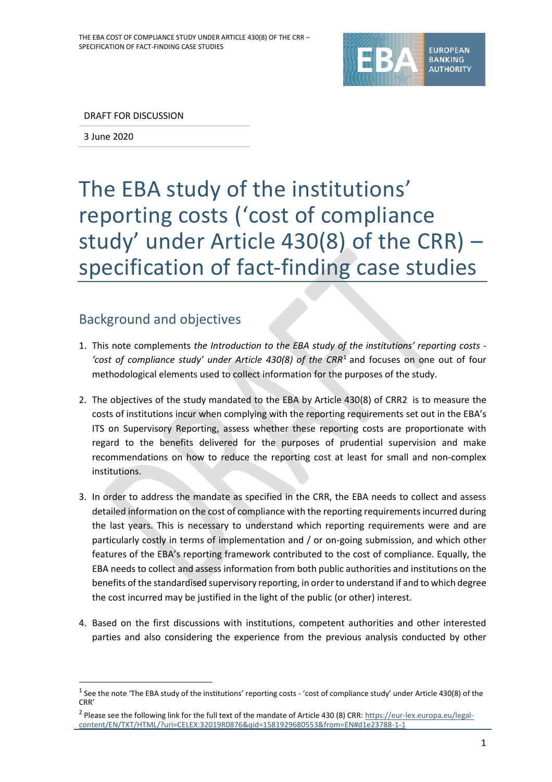

DRAFT FOR DISCUSSION

3 June 2020

1

# The EBA study of the institutions' reporting costs ('cost of compliance study' under Article 430(8) of the CRR) – specification of fact-finding case studies

# Background and objectives

- 1. This note complements *the Introduction to the EBA study of the institutions' reporting costs - 'cost of compliance study' under Article 430(8) of the CRR*<sup>1</sup> and focuses on one out of four methodological elements used to collect information for the purposes of the study.
- 2. The objectives of the study mandated to the EBA by Article 430(8) of CRR2 is to measure the costs of institutions incur when complying with the reporting requirements set out in the EBA's ITS on Supervisory Reporting, assess whether these reporting costs are proportionate with regard to the benefits delivered for the purposes of prudential supervision and make recommendations on how to reduce the reporting cost at least for small and non-complex institutions.
- 3. In order to address the mandate as specified in the CRR, the EBA needs to collect and assess detailed information on the cost of compliance with the reporting requirements incurred during the last years. This is necessary to understand which reporting requirements were and are particularly costly in terms of implementation and / or on-going submission, and which other features of the EBA's reporting framework contributed to the cost of compliance. Equally, the EBA needs to collect and assess information from both public authorities and institutions on the benefits of the standardised supervisory reporting, in order to understand if and to which degree the cost incurred may be justified in the light of the public (or other) interest.
- 4. Based on the first discussions with institutions, competent authorities and other interested parties and also considering the experience from the previous analysis conducted by other

<sup>&</sup>lt;sup>1</sup> See the note 'The EBA study of the institutions' reporting costs - 'cost of compliance study' under Article 430(8) of the CRR'

<sup>&</sup>lt;sup>2</sup> Please see the following link for the full text of the mandate of Article 430 (8) CRR[: https://eur-lex.europa.eu/legal](https://eur-lex.europa.eu/legal-content/EN/TXT/HTML/?uri=CELEX:32019R0876&qid=1581929680553&from=EN#d1e23788-1-1)[content/EN/TXT/HTML/?uri=CELEX:32019R0876&qid=1581929680553&from=EN#d1e23788-1-1](https://eur-lex.europa.eu/legal-content/EN/TXT/HTML/?uri=CELEX:32019R0876&qid=1581929680553&from=EN#d1e23788-1-1)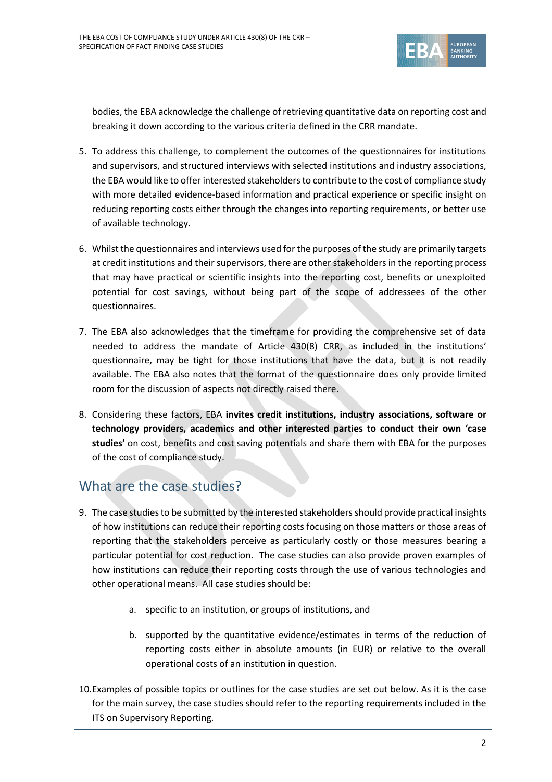

bodies, the EBA acknowledge the challenge of retrieving quantitative data on reporting cost and breaking it down according to the various criteria defined in the CRR mandate.

- 5. To address this challenge, to complement the outcomes of the questionnaires for institutions and supervisors, and structured interviews with selected institutions and industry associations, the EBA would like to offer interested stakeholders to contribute to the cost of compliance study with more detailed evidence-based information and practical experience or specific insight on reducing reporting costs either through the changes into reporting requirements, or better use of available technology.
- 6. Whilst the questionnaires and interviews used for the purposes of the study are primarily targets at credit institutions and their supervisors, there are other stakeholders in the reporting process that may have practical or scientific insights into the reporting cost, benefits or unexploited potential for cost savings, without being part of the scope of addressees of the other questionnaires.
- 7. The EBA also acknowledges that the timeframe for providing the comprehensive set of data needed to address the mandate of Article 430(8) CRR, as included in the institutions' questionnaire, may be tight for those institutions that have the data, but it is not readily available. The EBA also notes that the format of the questionnaire does only provide limited room for the discussion of aspects not directly raised there.
- 8. Considering these factors, EBA **invites credit institutions, industry associations, software or technology providers, academics and other interested parties to conduct their own 'case studies'** on cost, benefits and cost saving potentials and share them with EBA for the purposes of the cost of compliance study.

# What are the case studies?

- 9. The case studies to be submitted by the interested stakeholders should provide practical insights of how institutions can reduce their reporting costs focusing on those matters or those areas of reporting that the stakeholders perceive as particularly costly or those measures bearing a particular potential for cost reduction. The case studies can also provide proven examples of how institutions can reduce their reporting costs through the use of various technologies and other operational means. All case studies should be:
	- a. specific to an institution, or groups of institutions, and
	- b. supported by the quantitative evidence/estimates in terms of the reduction of reporting costs either in absolute amounts (in EUR) or relative to the overall operational costs of an institution in question.
- 10.Examples of possible topics or outlines for the case studies are set out below. As it is the case for the main survey, the case studies should refer to the reporting requirements included in the ITS on Supervisory Reporting.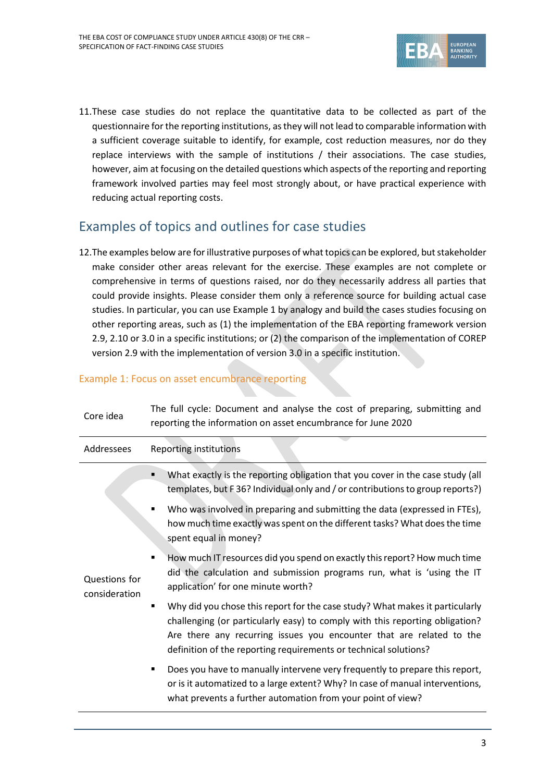

11.These case studies do not replace the quantitative data to be collected as part of the questionnaire for the reporting institutions, as they will not lead to comparable information with a sufficient coverage suitable to identify, for example, cost reduction measures, nor do they replace interviews with the sample of institutions / their associations. The case studies, however, aim at focusing on the detailed questions which aspects of the reporting and reporting framework involved parties may feel most strongly about, or have practical experience with reducing actual reporting costs.

# Examples of topics and outlines for case studies

12.The examples below are for illustrative purposes of what topics can be explored, but stakeholder make consider other areas relevant for the exercise. These examples are not complete or comprehensive in terms of questions raised, nor do they necessarily address all parties that could provide insights. Please consider them only a reference source for building actual case studies. In particular, you can use Example 1 by analogy and build the cases studies focusing on other reporting areas, such as (1) the implementation of the EBA reporting framework version 2.9, 2.10 or 3.0 in a specific institutions; or (2) the comparison of the implementation of COREP version 2.9 with the implementation of version 3.0 in a specific institution.

## Example 1: Focus on asset encumbrance reporting

| Core idea                      | The full cycle: Document and analyse the cost of preparing, submitting and<br>reporting the information on asset encumbrance for June 2020                                                                                                                                                                                                                                                                                                                                                                                                                                                                                                                                                                                                                                                                                                                                                                                                                                                                                                                                                    |
|--------------------------------|-----------------------------------------------------------------------------------------------------------------------------------------------------------------------------------------------------------------------------------------------------------------------------------------------------------------------------------------------------------------------------------------------------------------------------------------------------------------------------------------------------------------------------------------------------------------------------------------------------------------------------------------------------------------------------------------------------------------------------------------------------------------------------------------------------------------------------------------------------------------------------------------------------------------------------------------------------------------------------------------------------------------------------------------------------------------------------------------------|
| Addressees                     | Reporting institutions                                                                                                                                                                                                                                                                                                                                                                                                                                                                                                                                                                                                                                                                                                                                                                                                                                                                                                                                                                                                                                                                        |
| Questions for<br>consideration | What exactly is the reporting obligation that you cover in the case study (all<br>٠<br>templates, but F36? Individual only and / or contributions to group reports?)<br>Who was involved in preparing and submitting the data (expressed in FTEs),<br>$\blacksquare$<br>how much time exactly was spent on the different tasks? What does the time<br>spent equal in money?<br>How much IT resources did you spend on exactly this report? How much time<br>٠<br>did the calculation and submission programs run, what is 'using the IT<br>application' for one minute worth?<br>Why did you chose this report for the case study? What makes it particularly<br>$\blacksquare$<br>challenging (or particularly easy) to comply with this reporting obligation?<br>Are there any recurring issues you encounter that are related to the<br>definition of the reporting requirements or technical solutions?<br>Does you have to manually intervene very frequently to prepare this report,<br>$\blacksquare$<br>or is it automatized to a large extent? Why? In case of manual interventions, |
|                                | what prevents a further automation from your point of view?                                                                                                                                                                                                                                                                                                                                                                                                                                                                                                                                                                                                                                                                                                                                                                                                                                                                                                                                                                                                                                   |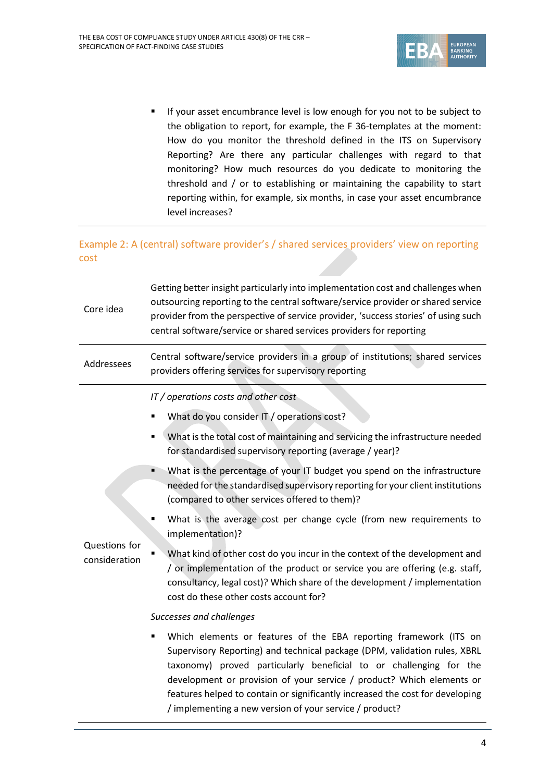

**If your asset encumbrance level is low enough for you not to be subject to** the obligation to report, for example, the F 36-templates at the moment: How do you monitor the threshold defined in the ITS on Supervisory Reporting? Are there any particular challenges with regard to that monitoring? How much resources do you dedicate to monitoring the threshold and / or to establishing or maintaining the capability to start reporting within, for example, six months, in case your asset encumbrance level increases?

## Example 2: A (central) software provider's / shared services providers' view on reporting cost

| Core idea                      | Getting better insight particularly into implementation cost and challenges when<br>outsourcing reporting to the central software/service provider or shared service<br>provider from the perspective of service provider, 'success stories' of using such<br>central software/service or shared services providers for reporting                                                                                                         |
|--------------------------------|-------------------------------------------------------------------------------------------------------------------------------------------------------------------------------------------------------------------------------------------------------------------------------------------------------------------------------------------------------------------------------------------------------------------------------------------|
| Addressees                     | Central software/service providers in a group of institutions; shared services<br>providers offering services for supervisory reporting                                                                                                                                                                                                                                                                                                   |
| Questions for<br>consideration | IT / operations costs and other cost<br>What do you consider IT / operations cost?                                                                                                                                                                                                                                                                                                                                                        |
|                                | What is the total cost of maintaining and servicing the infrastructure needed<br>Ξ<br>for standardised supervisory reporting (average / year)?                                                                                                                                                                                                                                                                                            |
|                                | What is the percentage of your IT budget you spend on the infrastructure<br>٠<br>needed for the standardised supervisory reporting for your client institutions<br>(compared to other services offered to them)?                                                                                                                                                                                                                          |
|                                | What is the average cost per change cycle (from new requirements to<br>٠<br>implementation)?                                                                                                                                                                                                                                                                                                                                              |
|                                | What kind of other cost do you incur in the context of the development and<br>/ or implementation of the product or service you are offering (e.g. staff,<br>consultancy, legal cost)? Which share of the development / implementation<br>cost do these other costs account for?                                                                                                                                                          |
|                                | Successes and challenges                                                                                                                                                                                                                                                                                                                                                                                                                  |
|                                | Which elements or features of the EBA reporting framework (ITS on<br>Supervisory Reporting) and technical package (DPM, validation rules, XBRL<br>taxonomy) proved particularly beneficial to or challenging for the<br>development or provision of your service / product? Which elements or<br>features helped to contain or significantly increased the cost for developing<br>/ implementing a new version of your service / product? |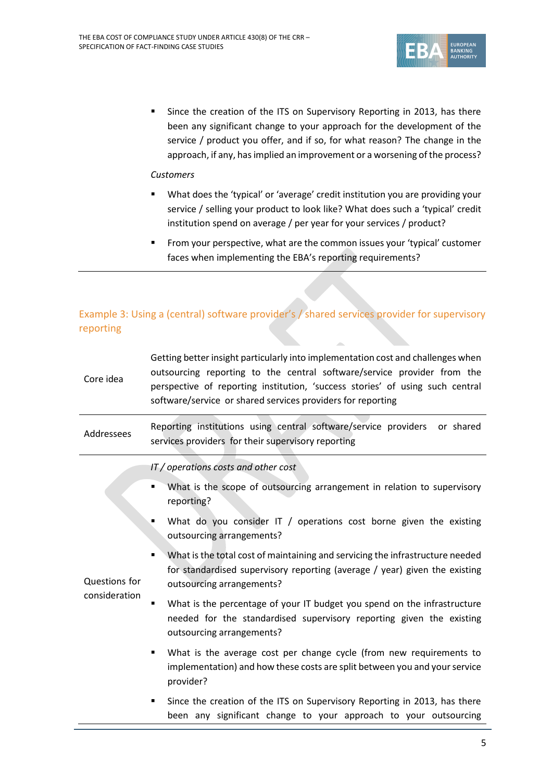

Since the creation of the ITS on Supervisory Reporting in 2013, has there been any significant change to your approach for the development of the service / product you offer, and if so, for what reason? The change in the approach, if any, has implied an improvement or a worsening of the process?

#### *Customers*

- What does the 'typical' or 'average' credit institution you are providing your service / selling your product to look like? What does such a 'typical' credit institution spend on average / per year for your services / product?
- **From your perspective, what are the common issues your 'typical' customer** faces when implementing the EBA's reporting requirements?

## Example 3: Using a (central) software provider's / shared services provider for supervisory reporting

| Core idea                      | Getting better insight particularly into implementation cost and challenges when<br>outsourcing reporting to the central software/service provider from the<br>perspective of reporting institution, 'success stories' of using such central<br>software/service or shared services providers for reporting |
|--------------------------------|-------------------------------------------------------------------------------------------------------------------------------------------------------------------------------------------------------------------------------------------------------------------------------------------------------------|
| Addressees                     | Reporting institutions using central software/service providers or shared<br>services providers for their supervisory reporting                                                                                                                                                                             |
| Questions for<br>consideration | IT / operations costs and other cost                                                                                                                                                                                                                                                                        |
|                                | What is the scope of outsourcing arrangement in relation to supervisory<br>٠<br>reporting?                                                                                                                                                                                                                  |
|                                | What do you consider IT / operations cost borne given the existing<br>Ξ<br>outsourcing arrangements?                                                                                                                                                                                                        |
|                                | What is the total cost of maintaining and servicing the infrastructure needed<br>$\blacksquare$<br>for standardised supervisory reporting (average / year) given the existing<br>outsourcing arrangements?                                                                                                  |
|                                | What is the percentage of your IT budget you spend on the infrastructure<br>$\blacksquare$<br>needed for the standardised supervisory reporting given the existing<br>outsourcing arrangements?                                                                                                             |
|                                | What is the average cost per change cycle (from new requirements to<br>٠<br>implementation) and how these costs are split between you and your service<br>provider?                                                                                                                                         |
|                                | Since the creation of the ITS on Supervisory Reporting in 2013, has there<br>٠<br>been any significant change to your approach to your outsourcing                                                                                                                                                          |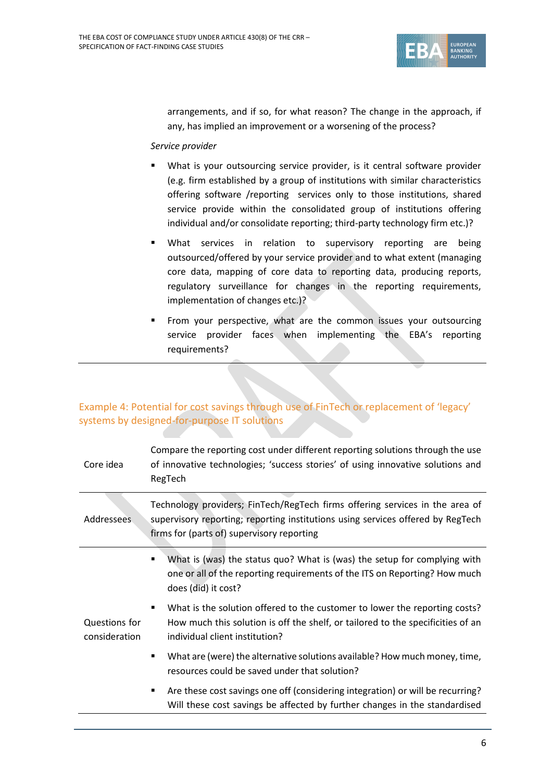

arrangements, and if so, for what reason? The change in the approach, if any, has implied an improvement or a worsening of the process?

#### *Service provider*

- What is your outsourcing service provider, is it central software provider (e.g. firm established by a group of institutions with similar characteristics offering software /reporting services only to those institutions, shared service provide within the consolidated group of institutions offering individual and/or consolidate reporting; third-party technology firm etc.)?
- **Nhat services in relation to supervisory reporting are being** outsourced/offered by your service provider and to what extent (managing core data, mapping of core data to reporting data, producing reports, regulatory surveillance for changes in the reporting requirements, implementation of changes etc.)?
- **FIM** From your perspective, what are the common issues your outsourcing service provider faces when implementing the EBA's reporting requirements?

## Example 4: Potential for cost savings through use of FinTech or replacement of 'legacy' systems by designed-for-purpose IT solutions

| Core idea                      | Compare the reporting cost under different reporting solutions through the use<br>of innovative technologies; 'success stories' of using innovative solutions and<br>RegTech                                  |
|--------------------------------|---------------------------------------------------------------------------------------------------------------------------------------------------------------------------------------------------------------|
| <b>Addressees</b>              | Technology providers; FinTech/RegTech firms offering services in the area of<br>supervisory reporting; reporting institutions using services offered by RegTech<br>firms for (parts of) supervisory reporting |
| Questions for<br>consideration | What is (was) the status quo? What is (was) the setup for complying with<br>$\blacksquare$<br>one or all of the reporting requirements of the ITS on Reporting? How much<br>does (did) it cost?               |
|                                | What is the solution offered to the customer to lower the reporting costs?<br>п<br>How much this solution is off the shelf, or tailored to the specificities of an<br>individual client institution?          |
|                                | What are (were) the alternative solutions available? How much money, time,<br>$\blacksquare$<br>resources could be saved under that solution?                                                                 |
|                                | Are these cost savings one off (considering integration) or will be recurring?<br>٠<br>Will these cost savings be affected by further changes in the standardised                                             |